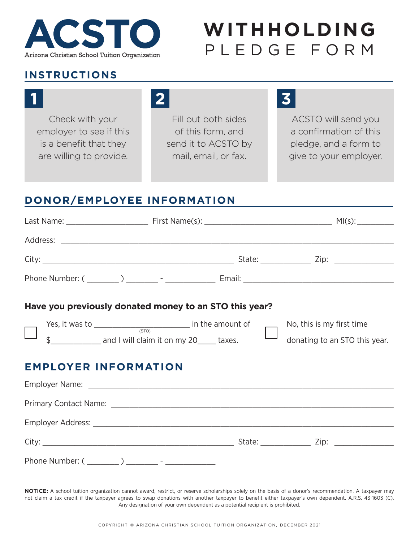

# **WITHHOLDING**  PLEDGE FORM

#### **INSTRUCTIONS**

Check with your employer to see if this is a benefit that they are willing to provide.

## **1 2 3**

Fill out both sides of this form, and send it to ACSTO by mail, email, or fax.

ACSTO will send you a confirmation of this pledge, and a form to give to your employer.

### **DONOR/EMPLOYEE INFORMATION**

|                             | Have you previously donated money to an STO this year? |  |                                                            |
|-----------------------------|--------------------------------------------------------|--|------------------------------------------------------------|
| <b>EMPLOYER INFORMATION</b> | Yes, it was to $\frac{1}{(STO)}$ in the amount of      |  | No, this is my first time<br>donating to an STO this year. |
|                             |                                                        |  |                                                            |
|                             |                                                        |  |                                                            |
|                             |                                                        |  |                                                            |
|                             |                                                        |  |                                                            |
|                             | Phone Number: ( ________ ) ________ - ____________     |  |                                                            |

**NOTICE:** A school tuition organization cannot award, restrict, or reserve scholarships solely on the basis of a donor's recommendation. A taxpayer may not claim a tax credit if the taxpayer agrees to swap donations with another taxpayer to benefit either taxpayer's own dependent. A.R.S. 43-1603 (C). Any designation of your own dependent as a potential recipient is prohibited.